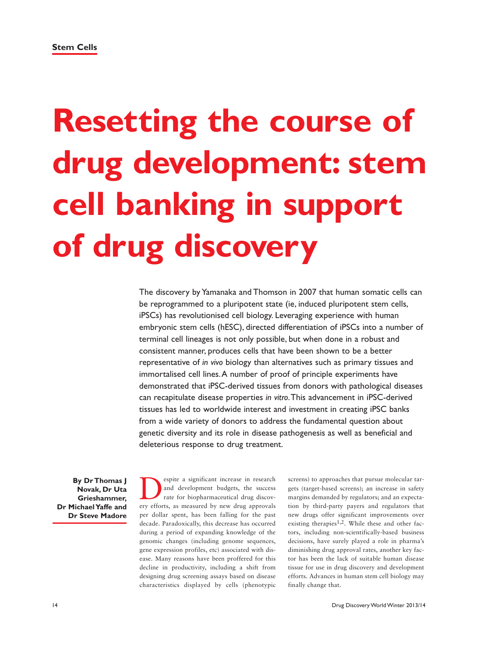# **Resetting the course of drug development: stem cell banking in support of drug discovery**

The discovery by Yamanaka and Thomson in 2007 that human somatic cells can be reprogrammed to a pluripotent state (ie, induced pluripotent stem cells, iPSCs) has revolutionised cell biology. Leveraging experience with human embryonic stem cells (hESC), directed differentiation of iPSCs into a number of terminal cell lineages is not only possible, but when done in a robust and consistent manner, produces cells that have been shown to be a better representative of *in vivo* biology than alternatives such as primary tissues and immortalised cell lines. A number of proof of principle experiments have demonstrated that iPSC-derived tissues from donors with pathological diseases can recapitulate disease properties *in vitro*. This advancement in iPSC-derived tissues has led to worldwide interest and investment in creating iPSC banks from a wide variety of donors to address the fundamental question about genetic diversity and its role in disease pathogenesis as well as beneficial and deleterious response to drug treatment.

**By Dr Thomas J Novak, Dr Uta Grieshammer, Dr Michael Yaffe and Dr Steve Madore**

Experie a significant increase in research<br>and development budgets, the success<br>rate for biopharmaceutical drug discov-<br>ery efforts as measured by new drug approvals and development budgets, the success rate for biopharmaceutical drug discovery efforts, as measured by new drug approvals per dollar spent, has been falling for the past decade. Paradoxically, this decrease has occurred during a period of expanding knowledge of the genomic changes (including genome sequences, gene expression profiles, etc) associated with disease. Many reasons have been proffered for this decline in productivity, including a shift from designing drug screening assays based on disease characteristics displayed by cells (phenotypic

screens) to approaches that pursue molecular targets (target-based screens); an increase in safety margins demanded by regulators; and an expectation by third-party payers and regulators that new drugs offer significant improvements over existing therapies<sup>1,2</sup>. While these and other factors, including non-scientifically-based business decisions, have surely played a role in pharma's diminishing drug approval rates, another key factor has been the lack of suitable human disease tissue for use in drug discovery and development efforts. Advances in human stem cell biology may finally change that.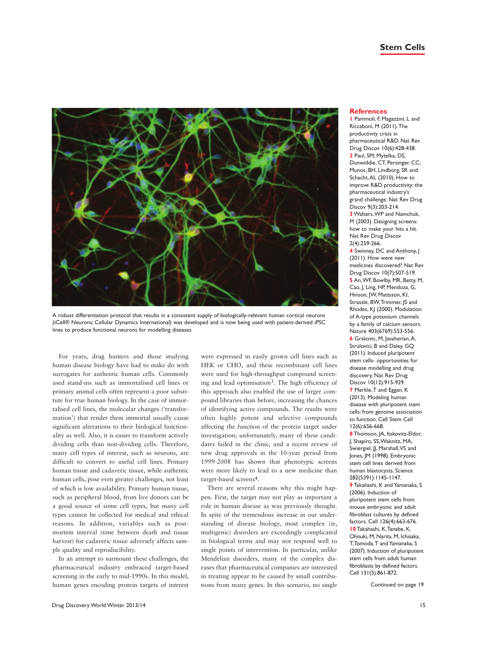

A robust differentiation protocol that results in a consistent supply of biologically-relevant human cortical neurons (iCell® Neurons; Cellular Dynamics International) was developed and is now being used with patient-derived iPSC lines to produce functional neurons for modelling diseases

For years, drug hunters and those studying human disease biology have had to make do with surrogates for authentic human cells. Commonly used stand-ins such as immortalised cell lines or primary animal cells often represent a poor substitute for true human biology. In the case of immortalised cell lines, the molecular changes ('transformation') that render them immortal usually cause significant alterations to their biological functionality as well. Also, it is easier to transform actively dividing cells than non-dividing cells. Therefore, many cell types of interest, such as neurons, are difficult to convert to useful cell lines. Primary human tissue and cadaveric tissue, while authentic human cells, pose even greater challenges, not least of which is low availability. Primary human tissue, such as peripheral blood, from live donors can be a good source of some cell types, but many cell types cannot be collected for medical and ethical reasons. In addition, variables such as postmortem interval (time between death and tissue harvest) for cadaveric tissue adversely affects sample quality and reproducibility.

In an attempt to surmount these challenges, the pharmaceutical industry embraced target-based screening in the early to mid-1990s. In this model, human genes encoding protein targets of interest were expressed in easily grown cell lines such as HEK or CHO, and these recombinant cell lines were used for high-throughput compound screening and lead optimisation<sup>3</sup>. The high efficiency of this approach also enabled the use of larger compound libraries than before, increasing the chances of identifying active compounds. The results were often highly potent and selective compounds affecting the function of the protein target under investigation; unfortunately, many of these candidates failed in the clinic, and a recent review of new drug approvals in the 10-year period from 1999-2008 has shown that phenotypic screens were more likely to lead to a new medicine than target-based screens4.

There are several reasons why this might happen. First, the target may not play as important a role in human disease as was previously thought. In spite of the tremendous increase in our understanding of disease biology, most complex (ie, multigenic) disorders are exceedingly complicated in biological terms and may not respond well to single points of intervention. In particular, unlike Mendelian disorders, many of the complex diseases that pharmaceutical companies are interested in treating appear to be caused by small contributions from many genes. In this scenario, no single

### **References**

**1** Pammoli, F, Magazzini, L and Riccaboni, M (2011). The productivity crisis in pharmaceutical R&D. Nat Rev Drug Discov 10(6):428-438. **2** Paul, SM, Mytelka, DS, Dunwiddie, CT, Persinger, CC, Munos, BH, Lindborg, SR and Schacht, AL (2010). How to improve R&D productivity: the pharmaceutical industry's grand challenge. Nat Rev Drug Discov 9(3):203-214. **3** Walters, WP and Namchuk, M (2003). Designing screens: how to make your hits a hit. Nat Rev Drug Discov

2(4):259-266. **4** Swinney, DC and Anthony, J (2011). How were new medicines discovered? Nat Rev Drug Discov 10(7):507-519. **5** An, WF, Bowlby, MR, Betty, M, Cao, J, Ling, HP, Mendoza, G, Hinson, JW, Mattsson, KI, Strassle, BW, Trimmer, JS and Rhodes, KJ (2000). Modulation of A-type potassium channels by a family of calcium sensors. Nature 403(6769):553-556. **6** Grskovic, M, Javaherian, A, Strulovici, B and Daley, GQ (2011). Induced pluripotent stem cells- opportunities for disease modelling and drug discovery. Nat Rev Drug Discov 10(12):915-929. **7** Merkle, T and Eggan, K (2013). Modeling human disease with pluripotent stem cells: from genome association to function. Cell Stem Cell 12(6):656-668.

**8** Thomson, JA, Itskovitz-Eldor, J, Shapiro, SS, Waknitz, MA, Swiergiel, JJ, Marshall, VS and Jones, JM (1998). Embryonic stem cell lines derived from human blastocysts. Science 282(5391):1145-1147. **9** Takahashi, K and Yamanaka, S (2006). Induction of pluripotent stem cells from mouse embryonic and adult fibroblast cultures by defined factors. Cell 126(4):663-676. **10** Takahashi, K, Tanabe, K, Ohnuki, M, Narita, M, Ichisaka, T, Tomoda, T and Yamanaka, S (2007). Induction of pluripotent stem cells from adult human fibroblasts by defined factors. Cell 131(5):861-872.

Continued on page 19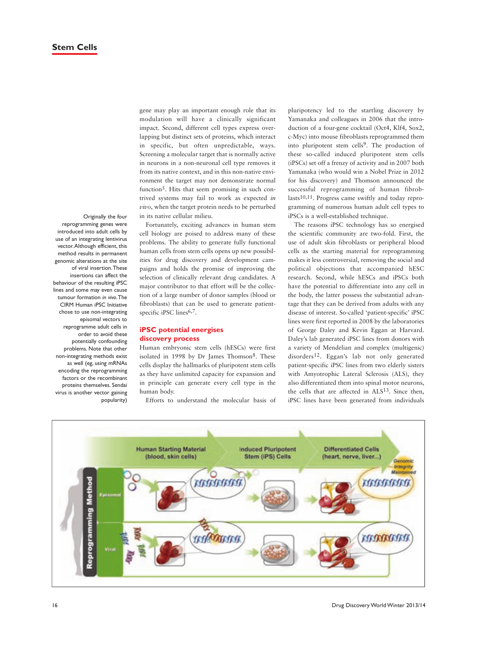Originally the four reprogramming genes were introduced into adult cells by use of an integrating lentivirus vector. Although efficient, this method results in permanent genomic alterations at the site of viral insertion. These insertions can affect the behaviour of the resulting iPSC lines and some may even cause tumour formation *in vivo*. The CIRM Human iPSC Initiative chose to use non-integrating episomal vectors to reprogramme adult cells in order to avoid these potentially confounding problems. Note that other non-integrating methods exist as well (eg, using mRNAs encoding the reprogramming factors or the recombinant proteins themselves. Sendai virus is another vector gaining popularity)

gene may play an important enough role that its modulation will have a clinically significant impact. Second, different cell types express overlapping but distinct sets of proteins, which interact in specific, but often unpredictable, ways. Screening a molecular target that is normally active in neurons in a non-neuronal cell type removes it from its native context, and in this non-native environment the target may not demonstrate normal function<sup>5</sup>. Hits that seem promising in such contrived systems may fail to work as expected *in vivo*, when the target protein needs to be perturbed in its native cellular milieu.

Fortunately, exciting advances in human stem cell biology are poised to address many of these problems. The ability to generate fully functional human cells from stem cells opens up new possibilities for drug discovery and development campaigns and holds the promise of improving the selection of clinically relevant drug candidates. A major contributor to that effort will be the collection of a large number of donor samples (blood or fibroblasts) that can be used to generate patientspecific iPSC lines<sup>6,7</sup>.

# **iPSC potential energises discovery process**

Human embryonic stem cells (hESCs) were first isolated in 1998 by Dr James Thomson<sup>8</sup>. These cells display the hallmarks of pluripotent stem cells as they have unlimited capacity for expansion and in principle can generate every cell type in the human body.

Efforts to understand the molecular basis of

pluripotency led to the startling discovery by Yamanaka and colleagues in 2006 that the introduction of a four-gene cocktail (Oct4, Klf4, Sox2, c-Myc) into mouse fibroblasts reprogrammed them into pluripotent stem cells<sup>9</sup>. The production of these so-called induced pluripotent stem cells (iPSCs) set off a frenzy of activity and in 2007 both Yamanaka (who would win a Nobel Prize in 2012 for his discovery) and Thomson announced the successful reprogramming of human fibroblasts<sup>10,11</sup>. Progress came swiftly and today reprogramming of numerous human adult cell types to iPSCs is a well-established technique.

The reasons iPSC technology has so energised the scientific community are two-fold. First, the use of adult skin fibroblasts or peripheral blood cells as the starting material for reprogramming makes it less controversial, removing the social and political objections that accompanied hESC research. Second, while hESCs and iPSCs both have the potential to differentiate into any cell in the body, the latter possess the substantial advantage that they can be derived from adults with any disease of interest. So-called 'patient-specific' iPSC lines were first reported in 2008 by the laboratories of George Daley and Kevin Eggan at Harvard. Daley's lab generated iPSC lines from donors with a variety of Mendelian and complex (multigenic) disorders12. Eggan's lab not only generated patient-specific iPSC lines from two elderly sisters with Amyotrophic Lateral Sclerosis (ALS), they also differentiated them into spinal motor neurons, the cells that are affected in ALS13. Since then, iPSC lines have been generated from individuals

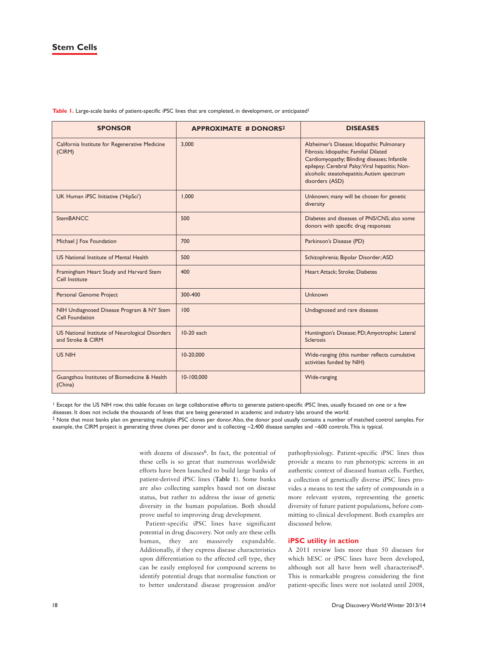# **Stem Cells**

Table 1. Large-scale banks of patient-specific iPSC lines that are completed, in development, or anticipated<sup>1</sup>

| <b>SPONSOR</b>                                                       | <b>APPROXIMATE # DONORS<sup>2</sup></b> | <b>DISEASES</b>                                                                                                                                                                                                                                        |
|----------------------------------------------------------------------|-----------------------------------------|--------------------------------------------------------------------------------------------------------------------------------------------------------------------------------------------------------------------------------------------------------|
| California Institute for Regenerative Medicine<br>(CIRM)             | 3,000                                   | Alzheimer's Disease; Idiopathic Pulmonary<br>Fibrosis; Idiopathic Familial Dilated<br>Cardiomyopathy; Blinding diseases; Infantile<br>epilepsy; Cerebral Palsy; Viral hepatitis; Non-<br>alcoholic steatohepatitis; Autism spectrum<br>disorders (ASD) |
| UK Human iPSC Initiative ('HipSci')                                  | 1,000                                   | Unknown; many will be chosen for genetic<br>diversity                                                                                                                                                                                                  |
| <b>StemBANCC</b>                                                     | 500                                     | Diabetes and diseases of PNS/CNS; also some<br>donors with specific drug responses                                                                                                                                                                     |
| Michael   Fox Foundation                                             | 700                                     | Parkinson's Disease (PD)                                                                                                                                                                                                                               |
| US National Institute of Mental Health                               | 500                                     | Schizophrenia; Bipolar Disorder; ASD                                                                                                                                                                                                                   |
| Framingham Heart Study and Harvard Stem<br>Cell Institute            | 400                                     | Heart Attack; Stroke; Diabetes                                                                                                                                                                                                                         |
| Personal Genome Project                                              | 300-400                                 | Unknown                                                                                                                                                                                                                                                |
| NIH Undiagnosed Disease Program & NY Stem<br>Cell Foundation         | 100                                     | Undiagnosed and rare diseases                                                                                                                                                                                                                          |
| US National Institute of Neurological Disorders<br>and Stroke & CIRM | 10-20 each                              | Huntington's Disease; PD; Amyotrophic Lateral<br><b>Sclerosis</b>                                                                                                                                                                                      |
| US NIH                                                               | 10-20,000                               | Wide-ranging (this number reflects cumulative<br>activities funded by NIH)                                                                                                                                                                             |
| Guangzhou Institutes of Biomedicine & Health<br>(China)              | 10-100,000                              | Wide-ranging                                                                                                                                                                                                                                           |

<sup>1</sup> Except for the US NIH row, this table focuses on large collaborative efforts to generate patient-specific iPSC lines, usually focused on one or a few diseases. It does not include the thousands of lines that are being generated in academic and industry labs around the world.

<sup>2</sup> Note that most banks plan on generating multiple iPSC clones per donor. Also, the donor pool usually contains a number of matched control samples. For example, the CIRM project is generating three clones per donor and is collecting ~2,400 disease samples and ~600 controls. This is typical.

> with dozens of diseases<sup>6</sup>. In fact, the potential of these cells is so great that numerous worldwide efforts have been launched to build large banks of patient-derived iPSC lines (**Table 1**). Some banks are also collecting samples based not on disease status, but rather to address the issue of genetic diversity in the human population. Both should prove useful to improving drug development.

> Patient-specific iPSC lines have significant potential in drug discovery. Not only are these cells human, they are massively expandable. Additionally, if they express disease characteristics upon differentiation to the affected cell type, they can be easily employed for compound screens to identify potential drugs that normalise function or to better understand disease progression and/or

pathophysiology. Patient-specific iPSC lines thus provide a means to run phenotypic screens in an authentic context of diseased human cells. Further, a collection of genetically diverse iPSC lines provides a means to test the safety of compounds in a more relevant system, representing the genetic diversity of future patient populations, before committing to clinical development. Both examples are discussed below.

### **iPSC utility in action**

A 2011 review lists more than 50 diseases for which hESC or iPSC lines have been developed, although not all have been well characterised<sup>6</sup>. This is remarkable progress considering the first patient-specific lines were not isolated until 2008,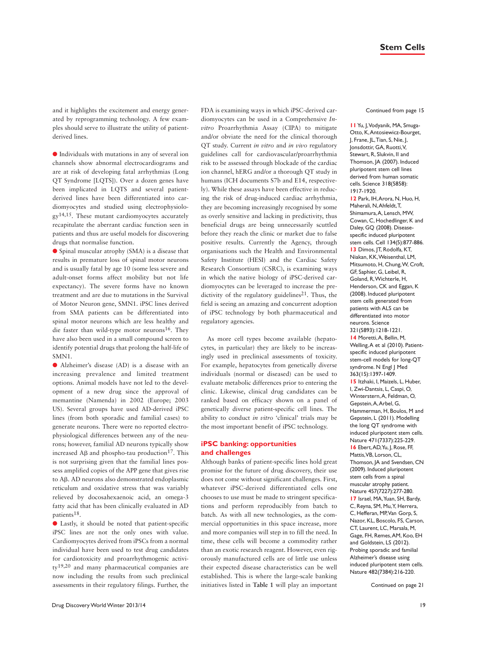# **Stem Cells**

and it highlights the excitement and energy generated by reprogramming technology. A few examples should serve to illustrate the utility of patientderived lines.

l Individuals with mutations in any of several ion channels show abnormal electrocardiograms and are at risk of developing fatal arrhythmias (Long QT Syndrome [LQTS]). Over a dozen genes have been implicated in LQTS and several patientderived lines have been differentiated into cardiomyocytes and studied using electrophysiology14,15. These mutant cardiomyocytes accurately recapitulate the aberrant cardiac function seen in patients and thus are useful models for discovering drugs that normalise function.

l Spinal muscular atrophy (SMA) is a disease that results in premature loss of spinal motor neurons and is usually fatal by age 10 (some less severe and adult-onset forms affect mobility but not life expectancy). The severe forms have no known treatment and are due to mutations in the Survival of Motor Neuron gene, SMN1. iPSC lines derived from SMA patients can be differentiated into spinal motor neurons which are less healthy and die faster than wild-type motor neurons<sup>16</sup>. They have also been used in a small compound screen to identify potential drugs that prolong the half-life of SMN1.

l Alzheimer's disease (AD) is a disease with an increasing prevalence and limited treatment options. Animal models have not led to the development of a new drug since the approval of memantine (Namenda) in 2002 (Europe; 2003 US). Several groups have used AD-derived iPSC lines (from both sporadic and familial cases) to generate neurons. There were no reported electrophysiological differences between any of the neurons; however, familial AD neurons typically show increased A $\beta$  and phospho-tau production<sup>17</sup>. This is not surprising given that the familial lines possess amplified copies of the APP gene that gives rise to Aβ. AD neurons also demonstrated endoplasmic reticulum and oxidative stress that was variably relieved by docosahexaenoic acid, an omega-3 fatty acid that has been clinically evaluated in AD patients18.

l Lastly, it should be noted that patient-specific iPSC lines are not the only ones with value. Cardiomyocytes derived from iPSCs from a normal individual have been used to test drug candidates for cardiotoxicity and proarrhythmogenic activity19,20 and many pharmaceutical companies are now including the results from such preclinical assessments in their regulatory filings. Further, the FDA is examining ways in which iPSC-derived cardiomyocytes can be used in a Comprehensive *Invitro* Proarrhythmia Assay (CIPA) to mitigate and/or obviate the need for the clinical thorough QT study. Current *in vitro* and *in vivo* regulatory guidelines call for cardiovascular/proarrhythmia risk to be assessed through blockade of the cardiac ion channel, hERG and/or a thorough QT study in humans (ICH documents S7b and E14, respectively). While these assays have been effective in reducing the risk of drug-induced cardiac arrhythmia, they are becoming increasingly recognised by some as overly sensitive and lacking in predictivity, thus beneficial drugs are being unnecessarily scuttled before they reach the clinic or market due to false positive results. Currently the Agency, through organisations such the Health and Environmental Safety Institute (HESI) and the Cardiac Safety Research Consortium (CSRC), is examining ways in which the native biology of iPSC-derived cardiomyocytes can be leveraged to increase the predictivity of the regulatory guidelines<sup>21</sup>. Thus, the field is seeing an amazing and concurrent adoption of iPSC technology by both pharmaceutical and regulatory agencies.

As more cell types become available (hepatocytes, in particular) they are likely to be increasingly used in preclinical assessments of toxicity. For example, hepatocytes from genetically diverse individuals (normal or diseased) can be used to evaluate metabolic differences prior to entering the clinic. Likewise, clinical drug candidates can be ranked based on efficacy shown on a panel of genetically diverse patient-specific cell lines. The ability to conduct *in vitro* 'clinical' trials may be the most important benefit of iPSC technology.

## **iPSC banking: opportunities and challenges**

Although banks of patient-specific lines hold great promise for the future of drug discovery, their use does not come without significant challenges. First, whatever iPSC-derived differentiated cells one chooses to use must be made to stringent specifications and perform reproducibly from batch to batch. As with all new technologies, as the commercial opportunities in this space increase, more and more companies will step in to fill the need. In time, these cells will become a commodity rather than an exotic research reagent. However, even rigorously manufactured cells are of little use unless their expected disease characteristics can be well established. This is where the large-scale banking initiatives listed in **Table 1** will play an important Continued from page 15

**11** Yu, J, Vodyanik, MA, Smuga-Otto, K, Antosiewicz-Bourget, J, Frane, JL, Tian, S, Nie, J, Jonsdottir, GA, Ruotti, V, Stewart, R, Slukvin, II and Thomson, JA (2007). Induced pluripotent stem cell lines derived from human somatic cells. Science 318(5858): 1917-1920. **12** Park, IH, Arora, N, Huo, H, Maherali, N, Ahfeldt, T, Shimamura, A, Lensch, MW, Cowan, C, Hochedlinger, K and Daley, GQ (2008). Diseasespecific induced pluripotent stem cells. Cell 134(5):877-886. **13** Dimos, JT, Rodolfa, KT, Niakan, KK, Weisenthal, LM, Mitsumoto, H, Chung, W, Croft, GF, Saphier, G, Leibel, R, Goland, R, Wichterle, H, Henderson, CK and Eggan, K (2008). Induced pluripotent stem cells generated from patients with ALS can be differentiated into motor neurons. Science 321(5893):1218-1221. **14** Moretti, A, Bellin, M, Welling, A et al (2010). Patientspecific induced pluripotent stem-cell models for long-QT syndrome. N Engl J Med 363(15):1397-1409. **15** Itzhaki, I, Maizels, L, Huber, I, Zwi-Dantsis, L, Caspi, O, Winterstern, A, Feldman, O, Gepstein, A, Arbel, G, Hammerman, H, Boulos, M and Gepstein, L (2011). Modelling the long QT syndrome with induced pluripotent stem cells. Nature 471(7337):225-229. **16** Ebert, AD, Yu, J, Rose, FF, Mattis, VB, Lorson, CL, Thomson, JA and Svendsen, CN (2009). Induced pluripotent stem cells from a spinal muscular atrophy patient. Nature 457(7227):277-280. **17** Israel, MA, Yuan, SH, Bardy, C, Reyna, SM, Mu, Y, Herrera, C, Hefferan, MP, Van Gorp, S, Nazor, KL, Boscolo, FS, Carson, CT, Laurent, LC, Marsala, M, Gage, FH, Remes, AM, Koo, EH and Goldstein, LS (2012). Probing sporadic and familial Alzheimer's disease using induced pluripotent stem cells. Nature 482(7384):216-220.

Continued on page 21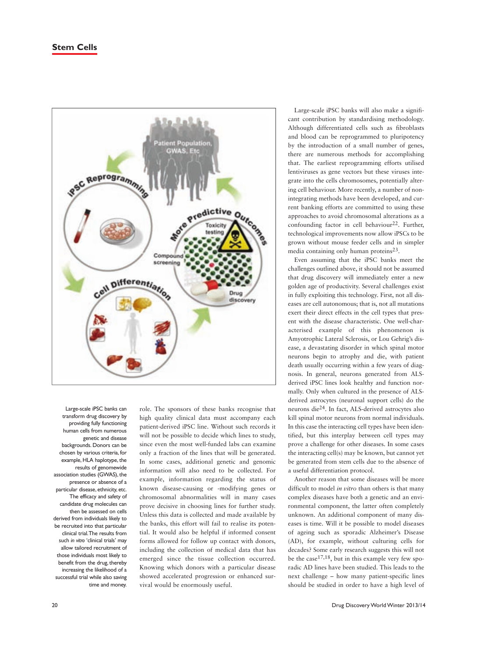

Large-scale iPSC banks can transform drug discovery by providing fully functioning human cells from numerous genetic and disease backgrounds. Donors can be chosen by various criteria, for example, HLA haplotype, the results of genomewide association studies (GWAS), the presence or absence of a particular disease, ethnicity, etc. The efficacy and safety of candidate drug molecules can then be assessed on cells derived from individuals likely to be recruited into that particular clinical trial. The results from such *in vitro* 'clinical trials' may allow tailored recruitment of those individuals most likely to benefit from the drug, thereby increasing the likelihood of a successful trial while also saving time and money.

role. The sponsors of these banks recognise that high quality clinical data must accompany each patient-derived iPSC line. Without such records it will not be possible to decide which lines to study, since even the most well-funded labs can examine only a fraction of the lines that will be generated. In some cases, additional genetic and genomic information will also need to be collected. For example, information regarding the status of known disease-causing or -modifying genes or chromosomal abnormalities will in many cases prove decisive in choosing lines for further study. Unless this data is collected and made available by the banks, this effort will fail to realise its potential. It would also be helpful if informed consent forms allowed for follow up contact with donors, including the collection of medical data that has emerged since the tissue collection occurred. Knowing which donors with a particular disease showed accelerated progression or enhanced survival would be enormously useful.

Large-scale iPSC banks will also make a significant contribution by standardising methodology. Although differentiated cells such as fibroblasts and blood can be reprogrammed to pluripotency by the introduction of a small number of genes, there are numerous methods for accomplishing that. The earliest reprogramming efforts utilised lentiviruses as gene vectors but these viruses integrate into the cells chromosomes, potentially altering cell behaviour. More recently, a number of nonintegrating methods have been developed, and current banking efforts are committed to using these approaches to avoid chromosomal alterations as a confounding factor in cell behaviour<sup>22</sup>. Further, technological improvements now allow iPSCs to be grown without mouse feeder cells and in simpler media containing only human proteins23.

Even assuming that the iPSC banks meet the challenges outlined above, it should not be assumed that drug discovery will immediately enter a new golden age of productivity. Several challenges exist in fully exploiting this technology. First, not all diseases are cell autonomous; that is, not all mutations exert their direct effects in the cell types that present with the disease characteristic. One well-characterised example of this phenomenon is Amyotrophic Lateral Sclerosis, or Lou Gehrig's disease, a devastating disorder in which spinal motor neurons begin to atrophy and die, with patient death usually occurring within a few years of diagnosis. In general, neurons generated from ALSderived iPSC lines look healthy and function normally. Only when cultured in the presence of ALSderived astrocytes (neuronal support cells) do the neurons die24. In fact, ALS-derived astrocytes also kill spinal motor neurons from normal individuals. In this case the interacting cell types have been identified, but this interplay between cell types may prove a challenge for other diseases. In some cases the interacting cell(s) may be known, but cannot yet be generated from stem cells due to the absence of a useful differentiation protocol.

Another reason that some diseases will be more difficult to model *in vitro* than others is that many complex diseases have both a genetic and an environmental component, the latter often completely unknown. An additional component of many diseases is time. Will it be possible to model diseases of ageing such as sporadic Alzheimer's Disease (AD), for example, without culturing cells for decades? Some early research suggests this will not be the case  $17,18$ , but in this example very few sporadic AD lines have been studied. This leads to the next challenge – how many patient-specific lines should be studied in order to have a high level of